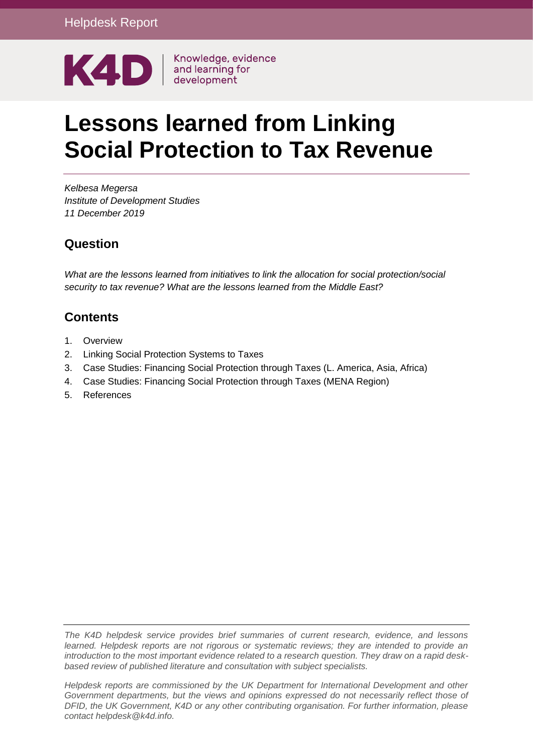

# **Lessons learned from Linking Social Protection to Tax Revenue**

*Kelbesa Megersa Institute of Development Studies 11 December 2019*

### **Question**

*What are the lessons learned from initiatives to link the allocation for social protection/social security to tax revenue? What are the lessons learned from the Middle East?*

# **Contents**

- 1. [Overview](#page-1-0)
- 2. [Linking Social Protection Systems to Taxes](#page-3-0)
- 3. [Case Studies: Financing Social Protection through Taxes \(L. America, Asia, Africa\)](#page-4-0)
- 4. [Case Studies: Financing Social Protection through Taxes \(MENA Region\)](#page-8-0)
- 5. [References](#page-16-0)

*The K4D helpdesk service provides brief summaries of current research, evidence, and lessons learned. Helpdesk reports are not rigorous or systematic reviews; they are intended to provide an introduction to the most important evidence related to a research question. They draw on a rapid deskbased review of published literature and consultation with subject specialists.* 

*Helpdesk reports are commissioned by the UK Department for International Development and other Government departments, but the views and opinions expressed do not necessarily reflect those of DFID, the UK Government, K4D or any other contributing organisation. For further information, please contact helpdesk@k4d.info.*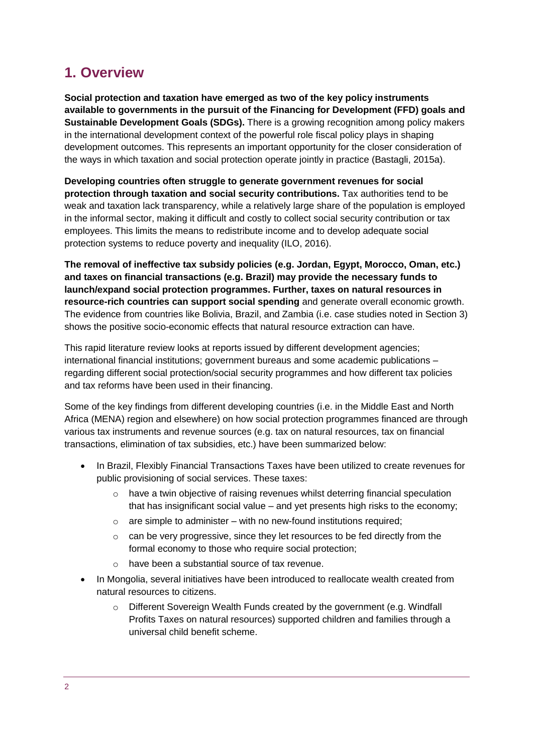# <span id="page-1-0"></span>**1. Overview**

**Social protection and taxation have emerged as two of the key policy instruments available to governments in the pursuit of the Financing for Development (FFD) goals and Sustainable Development Goals (SDGs).** There is a growing recognition among policy makers in the international development context of the powerful role fiscal policy plays in shaping development outcomes. This represents an important opportunity for the closer consideration of the ways in which taxation and social protection operate jointly in practice (Bastagli, 2015a).

**Developing countries often struggle to generate government revenues for social protection through taxation and social security contributions.** Tax authorities tend to be weak and taxation lack transparency, while a relatively large share of the population is employed in the informal sector, making it difficult and costly to collect social security contribution or tax employees. This limits the means to redistribute income and to develop adequate social protection systems to reduce poverty and inequality (ILO, 2016).

**The removal of ineffective tax subsidy policies (e.g. Jordan, Egypt, Morocco, Oman, etc.) and taxes on financial transactions (e.g. Brazil) may provide the necessary funds to launch/expand social protection programmes. Further, taxes on natural resources in resource-rich countries can support social spending** and generate overall economic growth. The evidence from countries like Bolivia, Brazil, and Zambia (i.e. case studies noted in Section 3) shows the positive socio-economic effects that natural resource extraction can have.

This rapid literature review looks at reports issued by different development agencies; international financial institutions; government bureaus and some academic publications – regarding different social protection/social security programmes and how different tax policies and tax reforms have been used in their financing.

Some of the key findings from different developing countries (i.e. in the Middle East and North Africa (MENA) region and elsewhere) on how social protection programmes financed are through various tax instruments and revenue sources (e.g. tax on natural resources, tax on financial transactions, elimination of tax subsidies, etc.) have been summarized below:

- In Brazil, Flexibly Financial Transactions Taxes have been utilized to create revenues for public provisioning of social services. These taxes:
	- o have a twin objective of raising revenues whilst deterring financial speculation that has insignificant social value – and vet presents high risks to the economy;
	- $\circ$  are simple to administer with no new-found institutions required;
	- $\circ$  can be very progressive, since they let resources to be fed directly from the formal economy to those who require social protection;
	- o have been a substantial source of tax revenue.
- In Mongolia, several initiatives have been introduced to reallocate wealth created from natural resources to citizens.
	- o Different Sovereign Wealth Funds created by the government (e.g. Windfall Profits Taxes on natural resources) supported children and families through a universal child benefit scheme.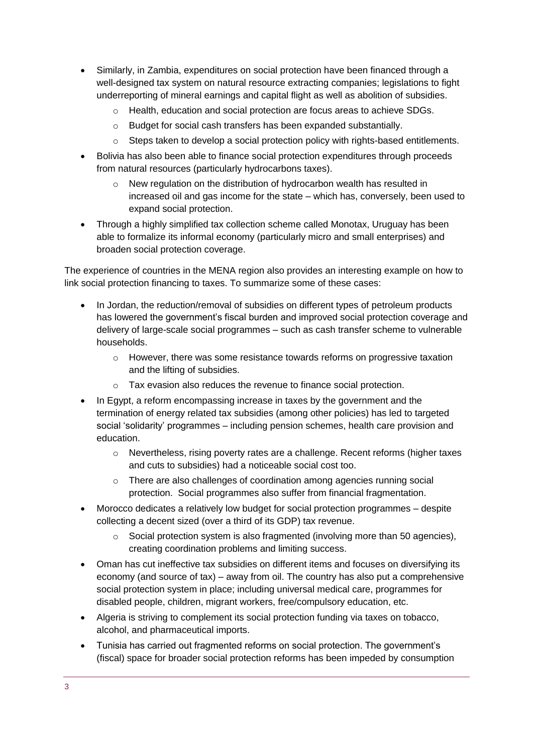- Similarly, in Zambia, expenditures on social protection have been financed through a well-designed tax system on natural resource extracting companies; legislations to fight underreporting of mineral earnings and capital flight as well as abolition of subsidies.
	- o Health, education and social protection are focus areas to achieve SDGs.
	- o Budget for social cash transfers has been expanded substantially.
	- $\circ$  Steps taken to develop a social protection policy with rights-based entitlements.
- Bolivia has also been able to finance social protection expenditures through proceeds from natural resources (particularly hydrocarbons taxes).
	- o New regulation on the distribution of hydrocarbon wealth has resulted in increased oil and gas income for the state – which has, conversely, been used to expand social protection.
- Through a highly simplified tax collection scheme called Monotax, Uruguay has been able to formalize its informal economy (particularly micro and small enterprises) and broaden social protection coverage.

The experience of countries in the MENA region also provides an interesting example on how to link social protection financing to taxes. To summarize some of these cases:

- In Jordan, the reduction/removal of subsidies on different types of petroleum products has lowered the government's fiscal burden and improved social protection coverage and delivery of large-scale social programmes – such as cash transfer scheme to vulnerable households.
	- $\circ$  However, there was some resistance towards reforms on progressive taxation and the lifting of subsidies.
	- o Tax evasion also reduces the revenue to finance social protection.
- In Egypt, a reform encompassing increase in taxes by the government and the termination of energy related tax subsidies (among other policies) has led to targeted social 'solidarity' programmes – including pension schemes, health care provision and education.
	- o Nevertheless, rising poverty rates are a challenge. Recent reforms (higher taxes and cuts to subsidies) had a noticeable social cost too.
	- o There are also challenges of coordination among agencies running social protection. Social programmes also suffer from financial fragmentation.
- Morocco dedicates a relatively low budget for social protection programmes despite collecting a decent sized (over a third of its GDP) tax revenue.
	- $\circ$  Social protection system is also fragmented (involving more than 50 agencies), creating coordination problems and limiting success.
- Oman has cut ineffective tax subsidies on different items and focuses on diversifying its economy (and source of tax) – away from oil. The country has also put a comprehensive social protection system in place; including universal medical care, programmes for disabled people, children, migrant workers, free/compulsory education, etc.
- Algeria is striving to complement its social protection funding via taxes on tobacco, alcohol, and pharmaceutical imports.
- Tunisia has carried out fragmented reforms on social protection. The government's (fiscal) space for broader social protection reforms has been impeded by consumption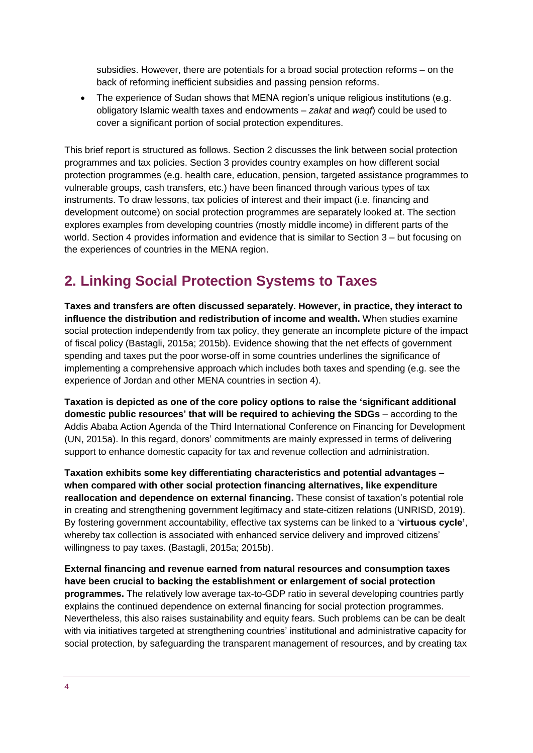subsidies. However, there are potentials for a broad social protection reforms – on the back of reforming inefficient subsidies and passing pension reforms.

 The experience of Sudan shows that MENA region's unique religious institutions (e.g. obligatory Islamic wealth taxes and endowments – *zakat* and *waqf*) could be used to cover a significant portion of social protection expenditures.

This brief report is structured as follows. Section 2 discusses the link between social protection programmes and tax policies. Section 3 provides country examples on how different social protection programmes (e.g. health care, education, pension, targeted assistance programmes to vulnerable groups, cash transfers, etc.) have been financed through various types of tax instruments. To draw lessons, tax policies of interest and their impact (i.e. financing and development outcome) on social protection programmes are separately looked at. The section explores examples from developing countries (mostly middle income) in different parts of the world. Section 4 provides information and evidence that is similar to Section 3 – but focusing on the experiences of countries in the MENA region.

# <span id="page-3-0"></span>**2. Linking Social Protection Systems to Taxes**

**Taxes and transfers are often discussed separately. However, in practice, they interact to influence the distribution and redistribution of income and wealth.** When studies examine social protection independently from tax policy, they generate an incomplete picture of the impact of fiscal policy (Bastagli, 2015a; 2015b). Evidence showing that the net effects of government spending and taxes put the poor worse-off in some countries underlines the significance of implementing a comprehensive approach which includes both taxes and spending (e.g. see the experience of Jordan and other MENA countries in section 4).

**Taxation is depicted as one of the core policy options to raise the 'significant additional domestic public resources' that will be required to achieving the SDGs** – according to the Addis Ababa Action Agenda of the Third International Conference on Financing for Development (UN, 2015a). In this regard, donors' commitments are mainly expressed in terms of delivering support to enhance domestic capacity for tax and revenue collection and administration.

**Taxation exhibits some key differentiating characteristics and potential advantages – when compared with other social protection financing alternatives, like expenditure reallocation and dependence on external financing.** These consist of taxation's potential role in creating and strengthening government legitimacy and state-citizen relations (UNRISD, 2019). By fostering government accountability, effective tax systems can be linked to a '**virtuous cycle'**, whereby tax collection is associated with enhanced service delivery and improved citizens' willingness to pay taxes. (Bastagli, 2015a; 2015b).

**External financing and revenue earned from natural resources and consumption taxes have been crucial to backing the establishment or enlargement of social protection programmes.** The relatively low average tax-to-GDP ratio in several developing countries partly explains the continued dependence on external financing for social protection programmes. Nevertheless, this also raises sustainability and equity fears. Such problems can be can be dealt with via initiatives targeted at strengthening countries' institutional and administrative capacity for social protection, by safeguarding the transparent management of resources, and by creating tax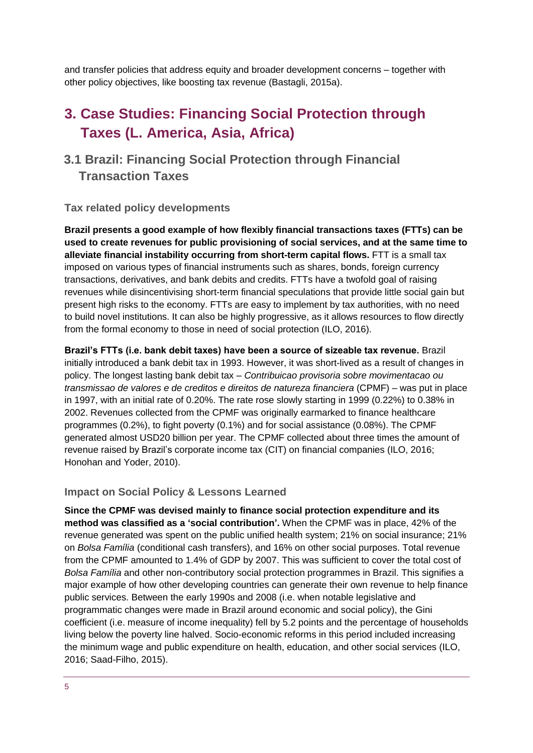and transfer policies that address equity and broader development concerns – together with other policy objectives, like boosting tax revenue (Bastagli, 2015a).

# <span id="page-4-0"></span>**3. Case Studies: Financing Social Protection through Taxes (L. America, Asia, Africa)**

### **3.1 Brazil: Financing Social Protection through Financial Transaction Taxes**

#### **Tax related policy developments**

**Brazil presents a good example of how flexibly financial transactions taxes (FTTs) can be used to create revenues for public provisioning of social services, and at the same time to alleviate financial instability occurring from short-term capital flows.** FTT is a small tax imposed on various types of financial instruments such as shares, bonds, foreign currency transactions, derivatives, and bank debits and credits. FTTs have a twofold goal of raising revenues while disincentivising short-term financial speculations that provide little social gain but present high risks to the economy. FTTs are easy to implement by tax authorities, with no need to build novel institutions. It can also be highly progressive, as it allows resources to flow directly from the formal economy to those in need of social protection (ILO, 2016).

**Brazil's FTTs (i.e. bank debit taxes) have been a source of sizeable tax revenue.** Brazil initially introduced a bank debit tax in 1993. However, it was short-lived as a result of changes in policy. The longest lasting bank debit tax – *Contribuicao provisoria sobre movimentacao ou transmissao de valores e de creditos e direitos de natureza financiera* (CPMF) – was put in place in 1997, with an initial rate of 0.20%. The rate rose slowly starting in 1999 (0.22%) to 0.38% in 2002. Revenues collected from the CPMF was originally earmarked to finance healthcare programmes (0.2%), to fight poverty (0.1%) and for social assistance (0.08%). The CPMF generated almost USD20 billion per year. The CPMF collected about three times the amount of revenue raised by Brazil's corporate income tax (CIT) on financial companies (ILO, 2016; Honohan and Yoder, 2010).

#### **Impact on Social Policy & Lessons Learned**

**Since the CPMF was devised mainly to finance social protection expenditure and its method was classified as a 'social contribution'.** When the CPMF was in place, 42% of the revenue generated was spent on the public unified health system; 21% on social insurance; 21% on *Bolsa Família* (conditional cash transfers), and 16% on other social purposes. Total revenue from the CPMF amounted to 1.4% of GDP by 2007. This was sufficient to cover the total cost of *Bolsa Família* and other non-contributory social protection programmes in Brazil. This signifies a major example of how other developing countries can generate their own revenue to help finance public services. Between the early 1990s and 2008 (i.e. when notable legislative and programmatic changes were made in Brazil around economic and social policy), the Gini coefficient (i.e. measure of income inequality) fell by 5.2 points and the percentage of households living below the poverty line halved. Socio-economic reforms in this period included increasing the minimum wage and public expenditure on health, education, and other social services (ILO, 2016; Saad-Filho, 2015).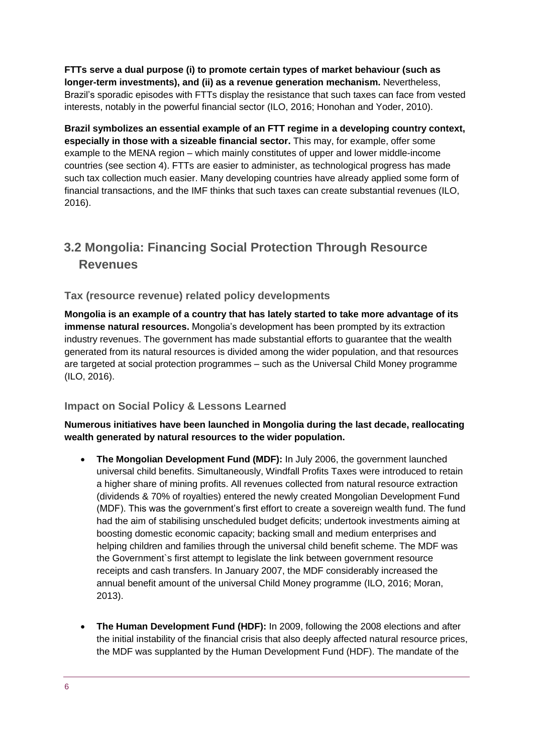**FTTs serve a dual purpose (i) to promote certain types of market behaviour (such as longer-term investments), and (ii) as a revenue generation mechanism.** Nevertheless, Brazil's sporadic episodes with FTTs display the resistance that such taxes can face from vested interests, notably in the powerful financial sector (ILO, 2016; Honohan and Yoder, 2010).

**Brazil symbolizes an essential example of an FTT regime in a developing country context, especially in those with a sizeable financial sector.** This may, for example, offer some example to the MENA region – which mainly constitutes of upper and lower middle-income countries (see section 4). FTTs are easier to administer, as technological progress has made such tax collection much easier. Many developing countries have already applied some form of financial transactions, and the IMF thinks that such taxes can create substantial revenues (ILO, 2016).

## **3.2 Mongolia: Financing Social Protection Through Resource Revenues**

### **Tax (resource revenue) related policy developments**

**Mongolia is an example of a country that has lately started to take more advantage of its immense natural resources.** Mongolia's development has been prompted by its extraction industry revenues. The government has made substantial efforts to guarantee that the wealth generated from its natural resources is divided among the wider population, and that resources are targeted at social protection programmes – such as the Universal Child Money programme (ILO, 2016).

### **Impact on Social Policy & Lessons Learned**

#### **Numerous initiatives have been launched in Mongolia during the last decade, reallocating wealth generated by natural resources to the wider population.**

- **The Mongolian Development Fund (MDF):** In July 2006, the government launched universal child benefits. Simultaneously, Windfall Profits Taxes were introduced to retain a higher share of mining profits. All revenues collected from natural resource extraction (dividends & 70% of royalties) entered the newly created Mongolian Development Fund (MDF). This was the government's first effort to create a sovereign wealth fund. The fund had the aim of stabilising unscheduled budget deficits; undertook investments aiming at boosting domestic economic capacity; backing small and medium enterprises and helping children and families through the universal child benefit scheme. The MDF was the Government`s first attempt to legislate the link between government resource receipts and cash transfers. In January 2007, the MDF considerably increased the annual benefit amount of the universal Child Money programme (ILO, 2016; Moran, 2013).
- **The Human Development Fund (HDF):** In 2009, following the 2008 elections and after the initial instability of the financial crisis that also deeply affected natural resource prices, the MDF was supplanted by the Human Development Fund (HDF). The mandate of the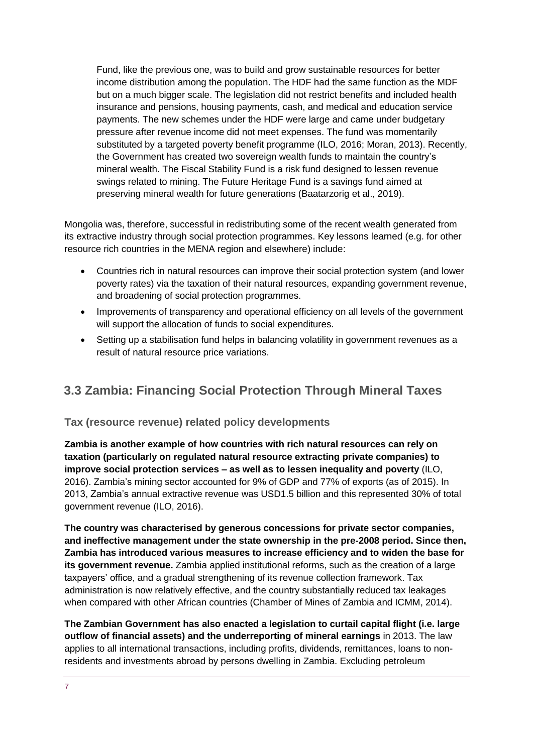Fund, like the previous one, was to build and grow sustainable resources for better income distribution among the population. The HDF had the same function as the MDF but on a much bigger scale. The legislation did not restrict benefits and included health insurance and pensions, housing payments, cash, and medical and education service payments. The new schemes under the HDF were large and came under budgetary pressure after revenue income did not meet expenses. The fund was momentarily substituted by a targeted poverty benefit programme (ILO, 2016; Moran, 2013). Recently, the Government has created two sovereign wealth funds to maintain the country's mineral wealth. The Fiscal Stability Fund is a risk fund designed to lessen revenue swings related to mining. The Future Heritage Fund is a savings fund aimed at preserving mineral wealth for future generations (Baatarzorig et al., 2019).

Mongolia was, therefore, successful in redistributing some of the recent wealth generated from its extractive industry through social protection programmes. Key lessons learned (e.g. for other resource rich countries in the MENA region and elsewhere) include:

- Countries rich in natural resources can improve their social protection system (and lower poverty rates) via the taxation of their natural resources, expanding government revenue, and broadening of social protection programmes.
- Improvements of transparency and operational efficiency on all levels of the government will support the allocation of funds to social expenditures.
- Setting up a stabilisation fund helps in balancing volatility in government revenues as a result of natural resource price variations.

### **3.3 Zambia: Financing Social Protection Through Mineral Taxes**

### **Tax (resource revenue) related policy developments**

**Zambia is another example of how countries with rich natural resources can rely on taxation (particularly on regulated natural resource extracting private companies) to improve social protection services – as well as to lessen inequality and poverty** (ILO, 2016). Zambia's mining sector accounted for 9% of GDP and 77% of exports (as of 2015). In 2013, Zambia's annual extractive revenue was USD1.5 billion and this represented 30% of total government revenue (ILO, 2016).

**The country was characterised by generous concessions for private sector companies, and ineffective management under the state ownership in the pre-2008 period. Since then, Zambia has introduced various measures to increase efficiency and to widen the base for its government revenue.** Zambia applied institutional reforms, such as the creation of a large taxpayers' office, and a gradual strengthening of its revenue collection framework. Tax administration is now relatively effective, and the country substantially reduced tax leakages when compared with other African countries (Chamber of Mines of Zambia and ICMM, 2014).

**The Zambian Government has also enacted a legislation to curtail capital flight (i.e. large outflow of financial assets) and the underreporting of mineral earnings** in 2013. The law applies to all international transactions, including profits, dividends, remittances, loans to nonresidents and investments abroad by persons dwelling in Zambia. Excluding petroleum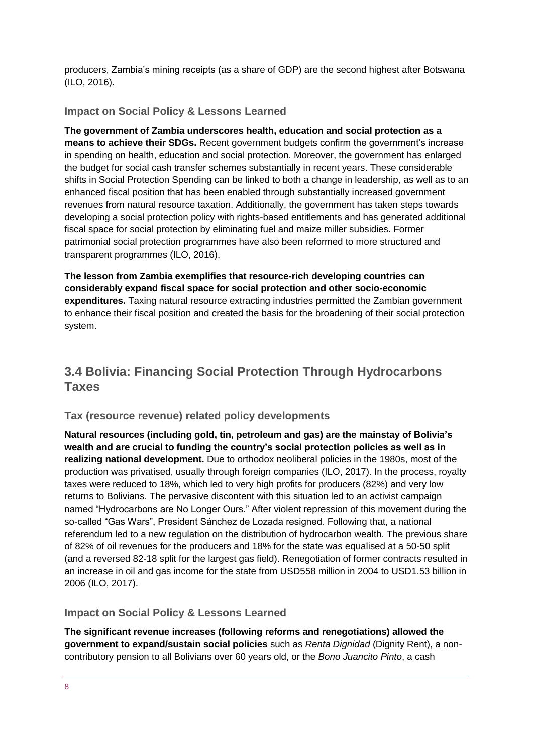producers, Zambia's mining receipts (as a share of GDP) are the second highest after Botswana (ILO, 2016).

#### **Impact on Social Policy & Lessons Learned**

**The government of Zambia underscores health, education and social protection as a means to achieve their SDGs.** Recent government budgets confirm the government's increase in spending on health, education and social protection. Moreover, the government has enlarged the budget for social cash transfer schemes substantially in recent years. These considerable shifts in Social Protection Spending can be linked to both a change in leadership, as well as to an enhanced fiscal position that has been enabled through substantially increased government revenues from natural resource taxation. Additionally, the government has taken steps towards developing a social protection policy with rights-based entitlements and has generated additional fiscal space for social protection by eliminating fuel and maize miller subsidies. Former patrimonial social protection programmes have also been reformed to more structured and transparent programmes (ILO, 2016).

**The lesson from Zambia exemplifies that resource-rich developing countries can considerably expand fiscal space for social protection and other socio-economic expenditures.** Taxing natural resource extracting industries permitted the Zambian government to enhance their fiscal position and created the basis for the broadening of their social protection system.

### **3.4 Bolivia: Financing Social Protection Through Hydrocarbons Taxes**

#### **Tax (resource revenue) related policy developments**

**Natural resources (including gold, tin, petroleum and gas) are the mainstay of Bolivia's wealth and are crucial to funding the country's social protection policies as well as in realizing national development.** Due to orthodox neoliberal policies in the 1980s, most of the production was privatised, usually through foreign companies (ILO, 2017). In the process, royalty taxes were reduced to 18%, which led to very high profits for producers (82%) and very low returns to Bolivians. The pervasive discontent with this situation led to an activist campaign named "Hydrocarbons are No Longer Ours." After violent repression of this movement during the so-called "Gas Wars", President Sánchez de Lozada resigned. Following that, a national referendum led to a new regulation on the distribution of hydrocarbon wealth. The previous share of 82% of oil revenues for the producers and 18% for the state was equalised at a 50-50 split (and a reversed 82-18 split for the largest gas field). Renegotiation of former contracts resulted in an increase in oil and gas income for the state from USD558 million in 2004 to USD1.53 billion in 2006 (ILO, 2017).

#### **Impact on Social Policy & Lessons Learned**

**The significant revenue increases (following reforms and renegotiations) allowed the government to expand/sustain social policies** such as *Renta Dignidad* (Dignity Rent), a noncontributory pension to all Bolivians over 60 years old, or the *Bono Juancito Pinto*, a cash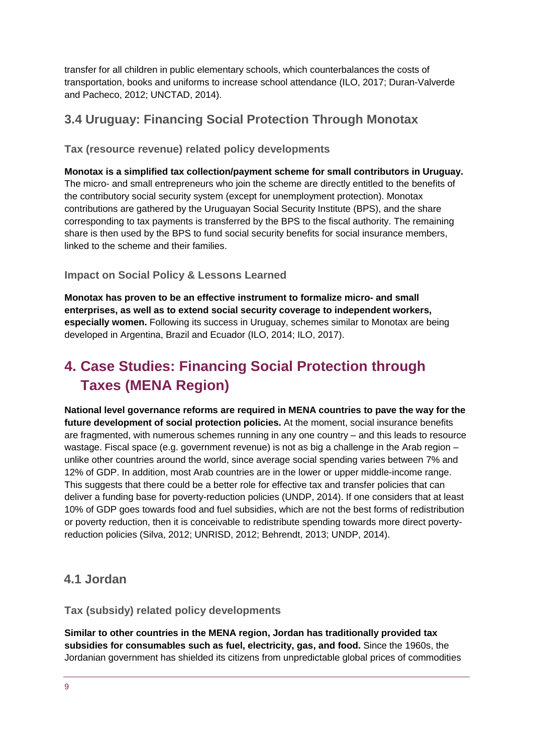transfer for all children in public elementary schools, which counterbalances the costs of transportation, books and uniforms to increase school attendance (ILO, 2017; Duran-Valverde and Pacheco, 2012; UNCTAD, 2014).

### **3.4 Uruguay: Financing Social Protection Through Monotax**

**Tax (resource revenue) related policy developments** 

**Monotax is a simplified tax collection/payment scheme for small contributors in Uruguay.** The micro- and small entrepreneurs who join the scheme are directly entitled to the benefits of the contributory social security system (except for unemployment protection). Monotax contributions are gathered by the Uruguayan Social Security Institute (BPS), and the share corresponding to tax payments is transferred by the BPS to the fiscal authority. The remaining share is then used by the BPS to fund social security benefits for social insurance members, linked to the scheme and their families.

### **Impact on Social Policy & Lessons Learned**

**Monotax has proven to be an effective instrument to formalize micro- and small enterprises, as well as to extend social security coverage to independent workers, especially women.** Following its success in Uruguay, schemes similar to Monotax are being developed in Argentina, Brazil and Ecuador (ILO, 2014; ILO, 2017).

# <span id="page-8-0"></span>**4. Case Studies: Financing Social Protection through Taxes (MENA Region)**

**National level governance reforms are required in MENA countries to pave the way for the future development of social protection policies.** At the moment, social insurance benefits are fragmented, with numerous schemes running in any one country – and this leads to resource wastage. Fiscal space (e.g. government revenue) is not as big a challenge in the Arab region – unlike other countries around the world, since average social spending varies between 7% and 12% of GDP. In addition, most Arab countries are in the lower or upper middle-income range. This suggests that there could be a better role for effective tax and transfer policies that can deliver a funding base for poverty-reduction policies (UNDP, 2014). If one considers that at least 10% of GDP goes towards food and fuel subsidies, which are not the best forms of redistribution or poverty reduction, then it is conceivable to redistribute spending towards more direct povertyreduction policies (Silva, 2012; UNRISD, 2012; Behrendt, 2013; UNDP, 2014).

### **4.1 Jordan**

**Tax (subsidy) related policy developments** 

**Similar to other countries in the MENA region, Jordan has traditionally provided tax subsidies for consumables such as fuel, electricity, gas, and food.** Since the 1960s, the Jordanian government has shielded its citizens from unpredictable global prices of commodities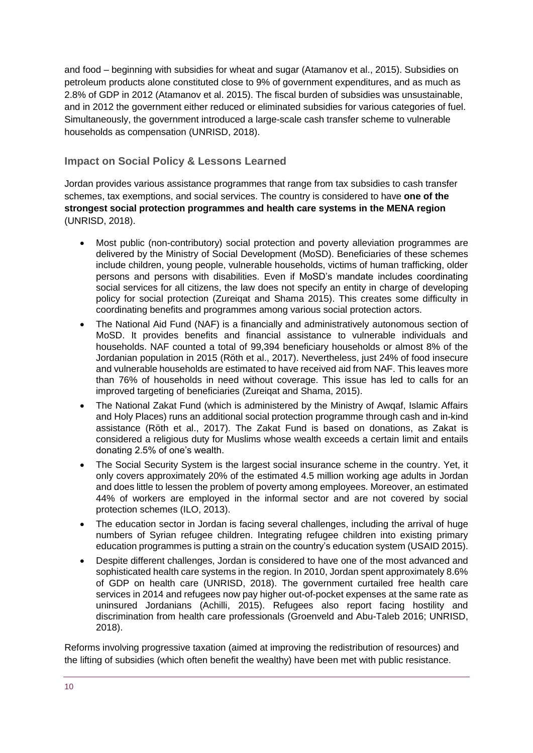and food – beginning with subsidies for wheat and sugar (Atamanov et al., 2015). Subsidies on petroleum products alone constituted close to 9% of government expenditures, and as much as 2.8% of GDP in 2012 (Atamanov et al. 2015). The fiscal burden of subsidies was unsustainable, and in 2012 the government either reduced or eliminated subsidies for various categories of fuel. Simultaneously, the government introduced a large-scale cash transfer scheme to vulnerable households as compensation (UNRISD, 2018).

### **Impact on Social Policy & Lessons Learned**

Jordan provides various assistance programmes that range from tax subsidies to cash transfer schemes, tax exemptions, and social services. The country is considered to have **one of the strongest social protection programmes and health care systems in the MENA region** (UNRISD, 2018).

- Most public (non-contributory) social protection and poverty alleviation programmes are delivered by the Ministry of Social Development (MoSD). Beneficiaries of these schemes include children, young people, vulnerable households, victims of human trafficking, older persons and persons with disabilities. Even if MoSD's mandate includes coordinating social services for all citizens, the law does not specify an entity in charge of developing policy for social protection (Zureiqat and Shama 2015). This creates some difficulty in coordinating benefits and programmes among various social protection actors.
- The National Aid Fund (NAF) is a financially and administratively autonomous section of MoSD. It provides benefits and financial assistance to vulnerable individuals and households. NAF counted a total of 99,394 beneficiary households or almost 8% of the Jordanian population in 2015 (Röth et al., 2017). Nevertheless, just 24% of food insecure and vulnerable households are estimated to have received aid from NAF. This leaves more than 76% of households in need without coverage. This issue has led to calls for an improved targeting of beneficiaries (Zureiqat and Shama, 2015).
- The National Zakat Fund (which is administered by the Ministry of Awqaf, Islamic Affairs and Holy Places) runs an additional social protection programme through cash and in-kind assistance (Röth et al., 2017). The Zakat Fund is based on donations, as Zakat is considered a religious duty for Muslims whose wealth exceeds a certain limit and entails donating 2.5% of one's wealth.
- The Social Security System is the largest social insurance scheme in the country. Yet, it only covers approximately 20% of the estimated 4.5 million working age adults in Jordan and does little to lessen the problem of poverty among employees. Moreover, an estimated 44% of workers are employed in the informal sector and are not covered by social protection schemes (ILO, 2013).
- The education sector in Jordan is facing several challenges, including the arrival of huge numbers of Syrian refugee children. Integrating refugee children into existing primary education programmes is putting a strain on the country's education system (USAID 2015).
- Despite different challenges, Jordan is considered to have one of the most advanced and sophisticated health care systems in the region. In 2010, Jordan spent approximately 8.6% of GDP on health care (UNRISD, 2018). The government curtailed free health care services in 2014 and refugees now pay higher out-of-pocket expenses at the same rate as uninsured Jordanians (Achilli, 2015). Refugees also report facing hostility and discrimination from health care professionals (Groenveld and Abu-Taleb 2016; UNRISD, 2018).

Reforms involving progressive taxation (aimed at improving the redistribution of resources) and the lifting of subsidies (which often benefit the wealthy) have been met with public resistance.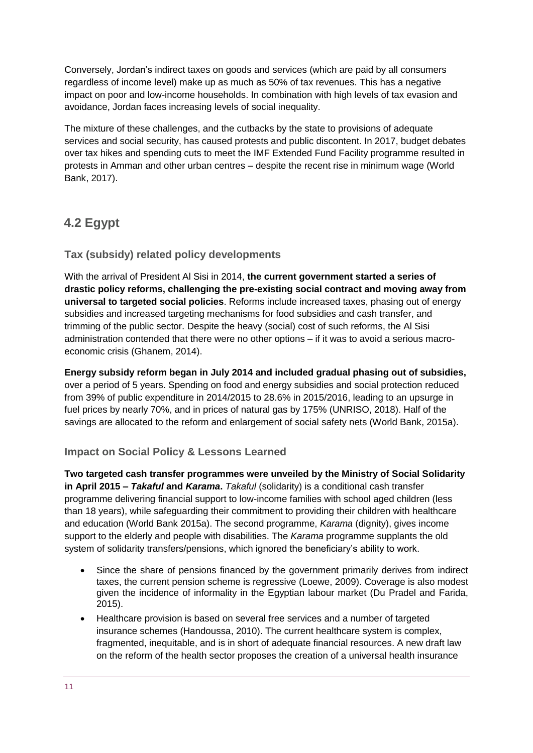Conversely, Jordan's indirect taxes on goods and services (which are paid by all consumers regardless of income level) make up as much as 50% of tax revenues. This has a negative impact on poor and low-income households. In combination with high levels of tax evasion and avoidance, Jordan faces increasing levels of social inequality.

The mixture of these challenges, and the cutbacks by the state to provisions of adequate services and social security, has caused protests and public discontent. In 2017, budget debates over tax hikes and spending cuts to meet the IMF Extended Fund Facility programme resulted in protests in Amman and other urban centres – despite the recent rise in minimum wage (World Bank, 2017).

# **4.2 Egypt**

### **Tax (subsidy) related policy developments**

With the arrival of President Al Sisi in 2014, **the current government started a series of drastic policy reforms, challenging the pre-existing social contract and moving away from universal to targeted social policies**. Reforms include increased taxes, phasing out of energy subsidies and increased targeting mechanisms for food subsidies and cash transfer, and trimming of the public sector. Despite the heavy (social) cost of such reforms, the Al Sisi administration contended that there were no other options – if it was to avoid a serious macroeconomic crisis (Ghanem, 2014).

**Energy subsidy reform began in July 2014 and included gradual phasing out of subsidies,** over a period of 5 years. Spending on food and energy subsidies and social protection reduced from 39% of public expenditure in 2014/2015 to 28.6% in 2015/2016, leading to an upsurge in fuel prices by nearly 70%, and in prices of natural gas by 175% (UNRISO, 2018). Half of the savings are allocated to the reform and enlargement of social safety nets (World Bank, 2015a).

### **Impact on Social Policy & Lessons Learned**

**Two targeted cash transfer programmes were unveiled by the Ministry of Social Solidarity in April 2015 –** *Takaful* **and** *Karama***.** *Takaful* (solidarity) is a conditional cash transfer programme delivering financial support to low-income families with school aged children (less than 18 years), while safeguarding their commitment to providing their children with healthcare and education (World Bank 2015a). The second programme, *Karama* (dignity), gives income support to the elderly and people with disabilities. The *Karama* programme supplants the old system of solidarity transfers/pensions, which ignored the beneficiary's ability to work.

- Since the share of pensions financed by the government primarily derives from indirect taxes, the current pension scheme is regressive (Loewe, 2009). Coverage is also modest given the incidence of informality in the Egyptian labour market (Du Pradel and Farida, 2015).
- Healthcare provision is based on several free services and a number of targeted insurance schemes (Handoussa, 2010). The current healthcare system is complex, fragmented, inequitable, and is in short of adequate financial resources. A new draft law on the reform of the health sector proposes the creation of a universal health insurance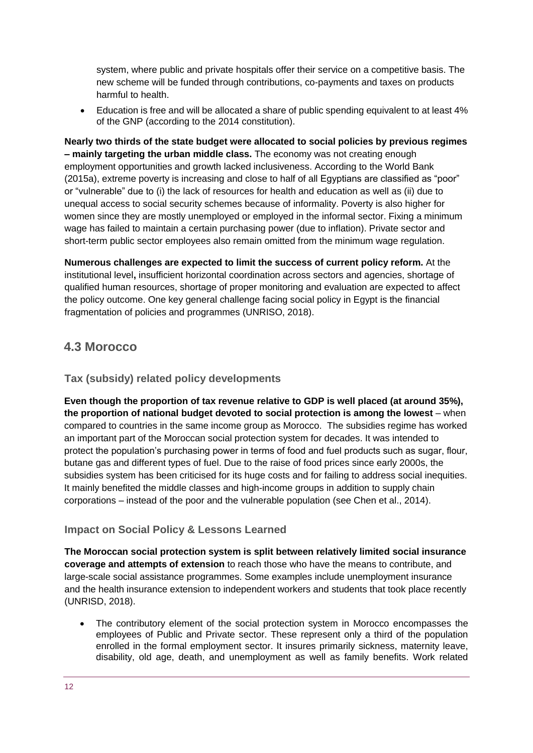system, where public and private hospitals offer their service on a competitive basis. The new scheme will be funded through contributions, co-payments and taxes on products harmful to health.

 Education is free and will be allocated a share of public spending equivalent to at least 4% of the GNP (according to the 2014 constitution).

**Nearly two thirds of the state budget were allocated to social policies by previous regimes – mainly targeting the urban middle class.** The economy was not creating enough employment opportunities and growth lacked inclusiveness. According to the World Bank (2015a), extreme poverty is increasing and close to half of all Egyptians are classified as "poor" or "vulnerable" due to (i) the lack of resources for health and education as well as (ii) due to unequal access to social security schemes because of informality. Poverty is also higher for women since they are mostly unemployed or employed in the informal sector. Fixing a minimum wage has failed to maintain a certain purchasing power (due to inflation). Private sector and short-term public sector employees also remain omitted from the minimum wage regulation.

**Numerous challenges are expected to limit the success of current policy reform.** At the institutional level**,** insufficient horizontal coordination across sectors and agencies, shortage of qualified human resources, shortage of proper monitoring and evaluation are expected to affect the policy outcome. One key general challenge facing social policy in Egypt is the financial fragmentation of policies and programmes (UNRISO, 2018).

### **4.3 Morocco**

### **Tax (subsidy) related policy developments**

**Even though the proportion of tax revenue relative to GDP is well placed (at around 35%), the proportion of national budget devoted to social protection is among the lowest** – when compared to countries in the same income group as Morocco. The subsidies regime has worked an important part of the Moroccan social protection system for decades. It was intended to protect the population's purchasing power in terms of food and fuel products such as sugar, flour, butane gas and different types of fuel. Due to the raise of food prices since early 2000s, the subsidies system has been criticised for its huge costs and for failing to address social inequities. It mainly benefited the middle classes and high-income groups in addition to supply chain corporations – instead of the poor and the vulnerable population (see Chen et al., 2014).

### **Impact on Social Policy & Lessons Learned**

**The Moroccan social protection system is split between relatively limited social insurance coverage and attempts of extension** to reach those who have the means to contribute, and large-scale social assistance programmes. Some examples include unemployment insurance and the health insurance extension to independent workers and students that took place recently (UNRISD, 2018).

 The contributory element of the social protection system in Morocco encompasses the employees of Public and Private sector. These represent only a third of the population enrolled in the formal employment sector. It insures primarily sickness, maternity leave, disability, old age, death, and unemployment as well as family benefits. Work related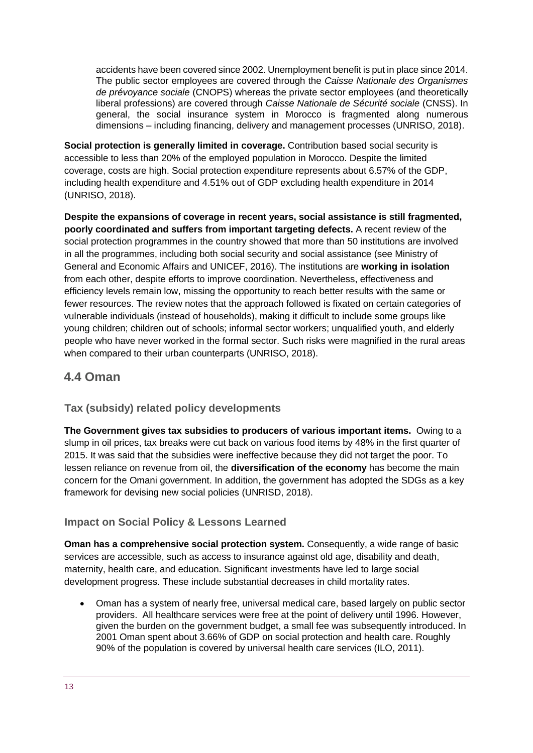accidents have been covered since 2002. Unemployment benefit is put in place since 2014. The public sector employees are covered through the *Caisse Nationale des Organismes de prévoyance sociale* (CNOPS) whereas the private sector employees (and theoretically liberal professions) are covered through *Caisse Nationale de Sécurité sociale* (CNSS). In general, the social insurance system in Morocco is fragmented along numerous dimensions – including financing, delivery and management processes (UNRISO, 2018).

**Social protection is generally limited in coverage.** Contribution based social security is accessible to less than 20% of the employed population in Morocco. Despite the limited coverage, costs are high. Social protection expenditure represents about 6.57% of the GDP, including health expenditure and 4.51% out of GDP excluding health expenditure in 2014 (UNRISO, 2018).

**Despite the expansions of coverage in recent years, social assistance is still fragmented, poorly coordinated and suffers from important targeting defects.** A recent review of the social protection programmes in the country showed that more than 50 institutions are involved in all the programmes, including both social security and social assistance (see Ministry of General and Economic Affairs and UNICEF, 2016). The institutions are **working in isolation** from each other, despite efforts to improve coordination. Nevertheless, effectiveness and efficiency levels remain low, missing the opportunity to reach better results with the same or fewer resources. The review notes that the approach followed is fixated on certain categories of vulnerable individuals (instead of households), making it difficult to include some groups like young children; children out of schools; informal sector workers; unqualified youth, and elderly people who have never worked in the formal sector. Such risks were magnified in the rural areas when compared to their urban counterparts (UNRISO, 2018).

### **4.4 Oman**

### **Tax (subsidy) related policy developments**

**The Government gives tax subsidies to producers of various important items.** Owing to a slump in oil prices, tax breaks were cut back on various food items by 48% in the first quarter of 2015. It was said that the subsidies were ineffective because they did not target the poor. To lessen reliance on revenue from oil, the **diversification of the economy** has become the main concern for the Omani government. In addition, the government has adopted the SDGs as a key framework for devising new social policies (UNRISD, 2018).

### **Impact on Social Policy & Lessons Learned**

**Oman has a comprehensive social protection system.** Consequently, a wide range of basic services are accessible, such as access to insurance against old age, disability and death, maternity, health care, and education. Significant investments have led to large social development progress. These include substantial decreases in child mortality rates.

 Oman has a system of nearly free, universal medical care, based largely on public sector providers. All healthcare services were free at the point of delivery until 1996. However, given the burden on the government budget, a small fee was subsequently introduced. In 2001 Oman spent about 3.66% of GDP on social protection and health care. Roughly 90% of the population is covered by universal health care services (ILO, 2011).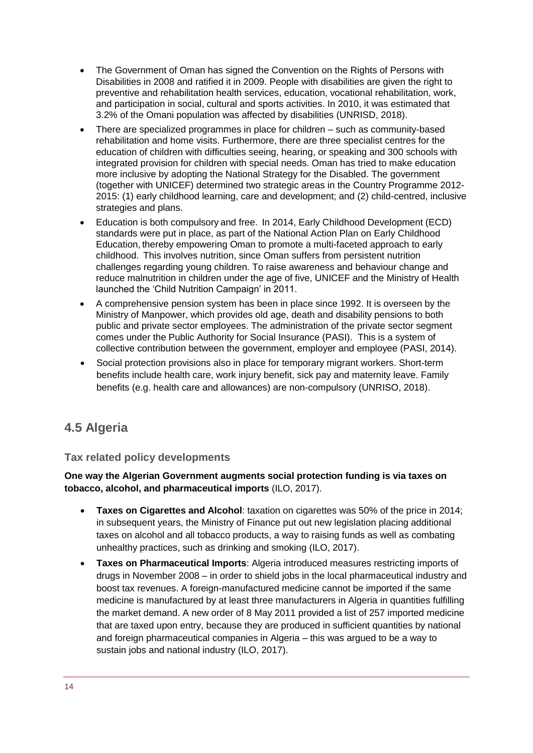- The Government of Oman has signed the Convention on the Rights of Persons with Disabilities in 2008 and ratified it in 2009. People with disabilities are given the right to preventive and rehabilitation health services, education, vocational rehabilitation, work, and participation in social, cultural and sports activities. In 2010, it was estimated that 3.2% of the Omani population was affected by disabilities (UNRISD, 2018).
- There are specialized programmes in place for children such as community-based rehabilitation and home visits. Furthermore, there are three specialist centres for the education of children with difficulties seeing, hearing, or speaking and 300 schools with integrated provision for children with special needs. Oman has tried to make education more inclusive by adopting the National Strategy for the Disabled. The government (together with UNICEF) determined two strategic areas in the Country Programme 2012- 2015: (1) early childhood learning, care and development; and (2) child-centred, inclusive strategies and plans.
- Education is both compulsory and free. In 2014, Early Childhood Development (ECD) standards were put in place, as part of the National Action Plan on Early Childhood Education, thereby empowering Oman to promote a multi-faceted approach to early childhood. This involves nutrition, since Oman suffers from persistent nutrition challenges regarding young children. To raise awareness and behaviour change and reduce malnutrition in children under the age of five, UNICEF and the Ministry of Health launched the 'Child Nutrition Campaign' in 2011.
- A comprehensive pension system has been in place since 1992. It is overseen by the Ministry of Manpower, which provides old age, death and disability pensions to both public and private sector employees. The administration of the private sector segment comes under the Public Authority for Social Insurance (PASI). This is a system of collective contribution between the government, employer and employee (PASI, 2014).
- Social protection provisions also in place for temporary migrant workers. Short-term benefits include health care, work injury benefit, sick pay and maternity leave. Family benefits (e.g. health care and allowances) are non-compulsory (UNRISO, 2018).

### **4.5 Algeria**

### **Tax related policy developments**

**One way the Algerian Government augments social protection funding is via taxes on tobacco, alcohol, and pharmaceutical imports** (ILO, 2017).

- **Taxes on Cigarettes and Alcohol**: taxation on cigarettes was 50% of the price in 2014; in subsequent years, the Ministry of Finance put out new legislation placing additional taxes on alcohol and all tobacco products, a way to raising funds as well as combating unhealthy practices, such as drinking and smoking (ILO, 2017).
- **Taxes on Pharmaceutical Imports**: Algeria introduced measures restricting imports of drugs in November 2008 – in order to shield jobs in the local pharmaceutical industry and boost tax revenues. A foreign-manufactured medicine cannot be imported if the same medicine is manufactured by at least three manufacturers in Algeria in quantities fulfilling the market demand. A new order of 8 May 2011 provided a list of 257 imported medicine that are taxed upon entry, because they are produced in sufficient quantities by national and foreign pharmaceutical companies in Algeria – this was argued to be a way to sustain jobs and national industry (ILO, 2017).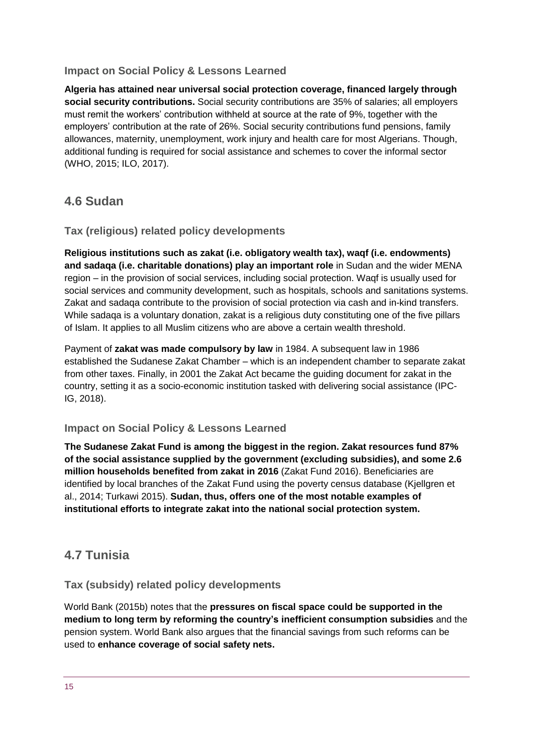#### **Impact on Social Policy & Lessons Learned**

**Algeria has attained near universal social protection coverage, financed largely through social security contributions.** Social security contributions are 35% of salaries; all employers must remit the workers' contribution withheld at source at the rate of 9%, together with the employers' contribution at the rate of 26%. Social security contributions fund pensions, family allowances, maternity, unemployment, work injury and health care for most Algerians. Though, additional funding is required for social assistance and schemes to cover the informal sector (WHO, 2015; ILO, 2017).

### **4.6 Sudan**

### **Tax (religious) related policy developments**

**Religious institutions such as zakat (i.e. obligatory wealth tax), waqf (i.e. endowments) and sadaqa (i.e. charitable donations) play an important role** in Sudan and the wider MENA region – in the provision of social services, including social protection. Waqf is usually used for social services and community development, such as hospitals, schools and sanitations systems. Zakat and sadaqa contribute to the provision of social protection via cash and in-kind transfers. While sadaqa is a voluntary donation, zakat is a religious duty constituting one of the five pillars of Islam. It applies to all Muslim citizens who are above a certain wealth threshold.

Payment of **zakat was made compulsory by law** in 1984. A subsequent law in 1986 established the Sudanese Zakat Chamber – which is an independent chamber to separate zakat from other taxes. Finally, in 2001 the Zakat Act became the guiding document for zakat in the country, setting it as a socio-economic institution tasked with delivering social assistance (IPC-IG, 2018).

### **Impact on Social Policy & Lessons Learned**

**The Sudanese Zakat Fund is among the biggest in the region. Zakat resources fund 87% of the social assistance supplied by the government (excluding subsidies), and some 2.6 million households benefited from zakat in 2016** (Zakat Fund 2016). Beneficiaries are identified by local branches of the Zakat Fund using the poverty census database (Kjellgren et al., 2014; Turkawi 2015). **Sudan, thus, offers one of the most notable examples of institutional efforts to integrate zakat into the national social protection system.**

### **4.7 Tunisia**

### **Tax (subsidy) related policy developments**

World Bank (2015b) notes that the **pressures on fiscal space could be supported in the medium to long term by reforming the country's inefficient consumption subsidies** and the pension system. World Bank also argues that the financial savings from such reforms can be used to **enhance coverage of social safety nets.**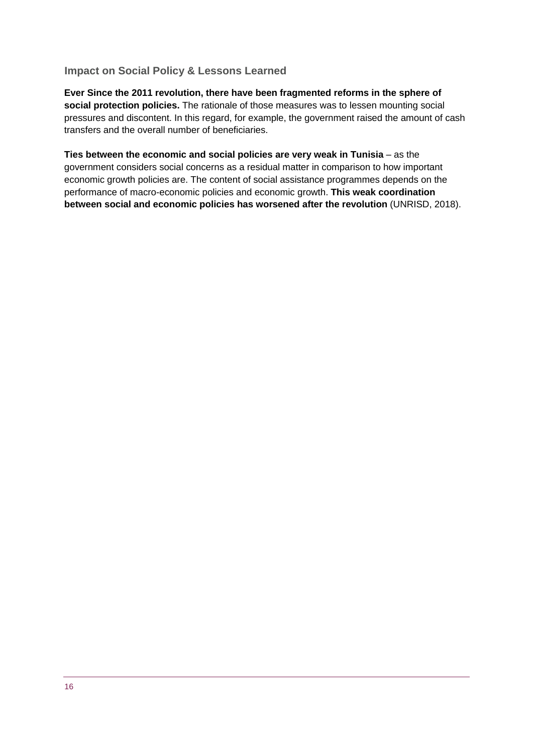#### **Impact on Social Policy & Lessons Learned**

**Ever Since the 2011 revolution, there have been fragmented reforms in the sphere of social protection policies.** The rationale of those measures was to lessen mounting social pressures and discontent. In this regard, for example, the government raised the amount of cash transfers and the overall number of beneficiaries.

**Ties between the economic and social policies are very weak in Tunisia** – as the government considers social concerns as a residual matter in comparison to how important economic growth policies are. The content of social assistance programmes depends on the performance of macro-economic policies and economic growth. **This weak coordination between social and economic policies has worsened after the revolution** (UNRISD, 2018).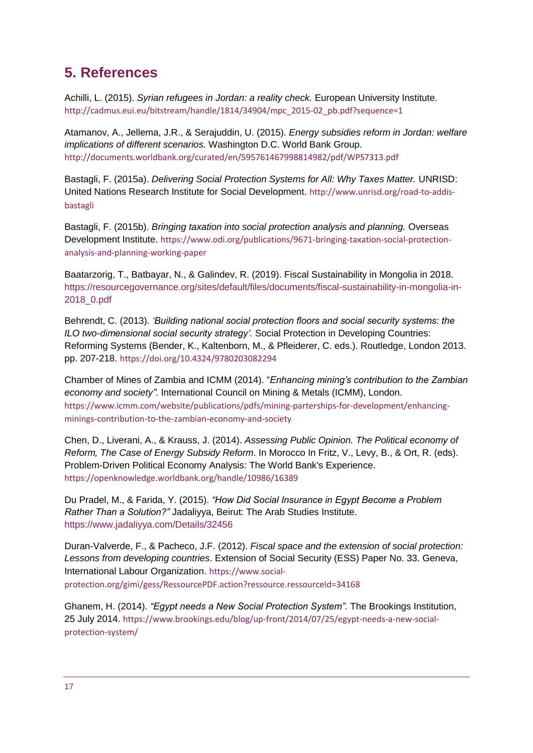# <span id="page-16-0"></span>**5. References**

Achilli, L. (2015). *Syrian refugees in Jordan: a reality check.* European University Institute. [http://cadmus.eui.eu/bitstream/handle/1814/34904/mpc\\_2015-02\\_pb.pdf?sequence=1](http://cadmus.eui.eu/bitstream/handle/1814/34904/mpc_2015-02_pb.pdf?sequence=1)

Atamanov, A., Jellema, J.R., & Serajuddin, U. (2015). *Energy subsidies reform in Jordan: welfare implications of different scenarios.* Washington D.C. World Bank Group. <http://documents.worldbank.org/curated/en/595761467998814982/pdf/WPS7313.pdf>

Bastagli, F. (2015a). *Delivering Social Protection Systems for All: Why Taxes Matter.* UNRISD: United Nations Research Institute for Social Development. [http://www.unrisd.org/road-to-addis](http://www.unrisd.org/road-to-addis-bastagli)[bastagli](http://www.unrisd.org/road-to-addis-bastagli)

Bastagli, F. (2015b). *Bringing taxation into social protection analysis and planning.* Overseas Development Institute. [https://www.odi.org/publications/9671-bringing-taxation-social-protection](https://www.odi.org/publications/9671-bringing-taxation-social-protection-analysis-and-planning-working-paper)[analysis-and-planning-working-paper](https://www.odi.org/publications/9671-bringing-taxation-social-protection-analysis-and-planning-working-paper)

Baatarzorig, T., Batbayar, N., & Galindev, R. (2019). Fiscal Sustainability in Mongolia in 2018. [https://resourcegovernance.org/sites/default/files/documents/fiscal-sustainability-in-mongolia-in-](https://resourcegovernance.org/sites/default/files/documents/fiscal-sustainability-in-mongolia-in-2018_0.pdf)[2018\\_0.pdf](https://resourcegovernance.org/sites/default/files/documents/fiscal-sustainability-in-mongolia-in-2018_0.pdf)

Behrendt, C. (2013). *'Building national social protection floors and social security systems: the ILO two-dimensional social security strategy'.* Social Protection in Developing Countries: Reforming Systems (Bender, K., Kaltenborn, M., & Pfleiderer, C. eds.). Routledge, London 2013. pp. 207-218. <https://doi.org/10.4324/9780203082294>

Chamber of Mines of Zambia and ICMM (2014). "*Enhancing mining's contribution to the Zambian economy and society".* International Council on Mining & Metals (ICMM), London. [https://www.icmm.com/website/publications/pdfs/mining-parterships-for-development/enhancing](https://www.icmm.com/website/publications/pdfs/mining-parterships-for-development/enhancing-minings-contribution-to-the-zambian-economy-and-society)[minings-contribution-to-the-zambian-economy-and-society](https://www.icmm.com/website/publications/pdfs/mining-parterships-for-development/enhancing-minings-contribution-to-the-zambian-economy-and-society)

Chen, D., Liverani, A., & Krauss, J. (2014). *Assessing Public Opinion. The Political economy of Reform, The Case of Energy Subsidy Reform*. In Morocco In Fritz, V., Levy, B., & Ort, R. (eds). Problem-Driven Political Economy Analysis: The World Bank's Experience. <https://openknowledge.worldbank.org/handle/10986/16389>

Du Pradel, M., & Farida, Y. (2015). *"How Did Social Insurance in Egypt Become a Problem Rather Than a Solution?"* Jadaliyya, Beirut: The Arab Studies Institute. <https://www.jadaliyya.com/Details/32456>

Duran-Valverde, F., & Pacheco, J.F. (2012). *Fiscal space and the extension of social protection: Lessons from developing countries*. Extension of Social Security (ESS) Paper No. 33. Geneva, International Labour Organization. [https://www.social](https://www.social-protection.org/gimi/gess/RessourcePDF.action?ressource.ressourceId=34168)[protection.org/gimi/gess/RessourcePDF.action?ressource.ressourceId=34168](https://www.social-protection.org/gimi/gess/RessourcePDF.action?ressource.ressourceId=34168)

Ghanem, H. (2014). *"Egypt needs a New Social Protection System".* The Brookings Institution, 25 July 2014. [https://www.brookings.edu/blog/up-front/2014/07/25/egypt-needs-a-new-social](https://www.brookings.edu/blog/up-front/2014/07/25/egypt-needs-a-new-social-protection-system/)[protection-system/](https://www.brookings.edu/blog/up-front/2014/07/25/egypt-needs-a-new-social-protection-system/)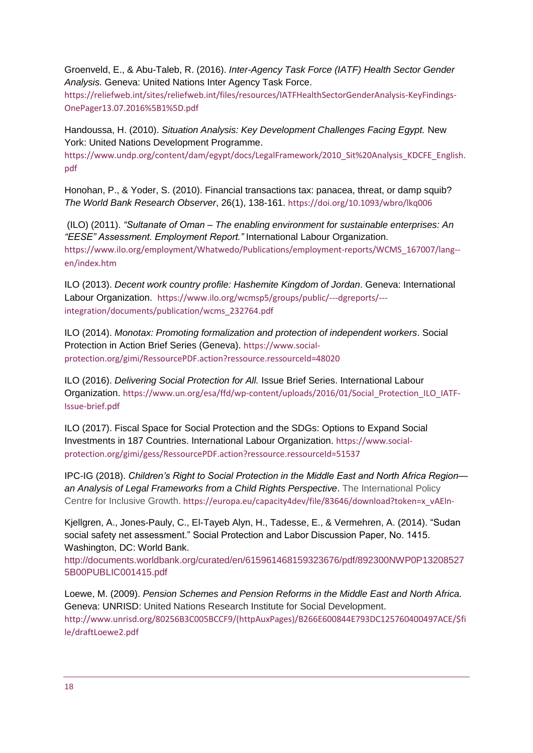Groenveld, E., & Abu-Taleb, R. (2016). *Inter-Agency Task Force (IATF) Health Sector Gender Analysis.* Geneva: United Nations Inter Agency Task Force.

[https://reliefweb.int/sites/reliefweb.int/files/resources/IATFHealthSectorGenderAnalysis-KeyFindings-](https://reliefweb.int/sites/reliefweb.int/files/resources/IATFHealthSectorGenderAnalysis-KeyFindings-OnePager13.07.2016%5B1%5D.pdf)[OnePager13.07.2016%5B1%5D.pdf](https://reliefweb.int/sites/reliefweb.int/files/resources/IATFHealthSectorGenderAnalysis-KeyFindings-OnePager13.07.2016%5B1%5D.pdf)

Handoussa, H. (2010). *Situation Analysis: Key Development Challenges Facing Egypt.* New York: United Nations Development Programme.

[https://www.undp.org/content/dam/egypt/docs/LegalFramework/2010\\_Sit%20Analysis\\_KDCFE\\_English.](https://www.undp.org/content/dam/egypt/docs/LegalFramework/2010_Sit%20Analysis_KDCFE_English.pdf) [pdf](https://www.undp.org/content/dam/egypt/docs/LegalFramework/2010_Sit%20Analysis_KDCFE_English.pdf)

Honohan, P., & Yoder, S. (2010). Financial transactions tax: panacea, threat, or damp squib? *The World Bank Research Observer*, 26(1), 138-161. <https://doi.org/10.1093/wbro/lkq006>

(ILO) (2011). *"Sultanate of Oman – The enabling environment for sustainable enterprises: An "EESE" Assessment. Employment Report."* International Labour Organization. [https://www.ilo.org/employment/Whatwedo/Publications/employment-reports/WCMS\\_167007/lang-](https://www.ilo.org/employment/Whatwedo/Publications/employment-reports/WCMS_167007/lang--en/index.htm) [en/index.htm](https://www.ilo.org/employment/Whatwedo/Publications/employment-reports/WCMS_167007/lang--en/index.htm)

ILO (2013). *Decent work country profile: Hashemite Kingdom of Jordan*. Geneva: International Labour Organization. [https://www.ilo.org/wcmsp5/groups/public/---dgreports/--](https://www.ilo.org/wcmsp5/groups/public/---dgreports/---integration/documents/publication/wcms_232764.pdf) [integration/documents/publication/wcms\\_232764.pdf](https://www.ilo.org/wcmsp5/groups/public/---dgreports/---integration/documents/publication/wcms_232764.pdf)

ILO (2014). *Monotax: Promoting formalization and protection of independent workers*. Social Protection in Action Brief Series (Geneva). [https://www.social](https://www.social-protection.org/gimi/RessourcePDF.action?ressource.ressourceId=48020)[protection.org/gimi/RessourcePDF.action?ressource.ressourceId=48020](https://www.social-protection.org/gimi/RessourcePDF.action?ressource.ressourceId=48020)

ILO (2016). *Delivering Social Protection for All.* Issue Brief Series. International Labour Organization. [https://www.un.org/esa/ffd/wp-content/uploads/2016/01/Social\\_Protection\\_ILO\\_IATF-](https://www.un.org/esa/ffd/wp-content/uploads/2016/01/Social_Protection_ILO_IATF-Issue-brief.pdf)[Issue-brief.pdf](https://www.un.org/esa/ffd/wp-content/uploads/2016/01/Social_Protection_ILO_IATF-Issue-brief.pdf)

ILO (2017). Fiscal Space for Social Protection and the SDGs: Options to Expand Social Investments in 187 Countries. International Labour Organization. [https://www.social](https://www.social-protection.org/gimi/gess/RessourcePDF.action?ressource.ressourceId=51537)[protection.org/gimi/gess/RessourcePDF.action?ressource.ressourceId=51537](https://www.social-protection.org/gimi/gess/RessourcePDF.action?ressource.ressourceId=51537)

IPC-IG (2018). *Children's Right to Social Protection in the Middle East and North Africa Region an Analysis of Legal Frameworks from a Child Rights Perspective*. The International Policy Centre for Inclusive Growth. [https://europa.eu/capacity4dev/file/83646/download?token=x\\_vAEln-](https://europa.eu/capacity4dev/file/83646/download?token=x_vAEln-)

Kjellgren, A., Jones-Pauly, C., El-Tayeb Alyn, H., Tadesse, E., & Vermehren, A. (2014). "Sudan social safety net assessment." Social Protection and Labor Discussion Paper, No. 1415. Washington, DC: World Bank.

[http://documents.worldbank.org/curated/en/615961468159323676/pdf/892300NWP0P13208527](http://documents.worldbank.org/curated/en/615961468159323676/pdf/892300NWP0P132085275B00PUBLIC001415.pdf) [5B00PUBLIC001415.pdf](http://documents.worldbank.org/curated/en/615961468159323676/pdf/892300NWP0P132085275B00PUBLIC001415.pdf)

Loewe, M. (2009). *Pension Schemes and Pension Reforms in the Middle East and North Africa.*  Geneva: UNRISD: United Nations Research Institute for Social Development. [http://www.unrisd.org/80256B3C005BCCF9/\(httpAuxPages\)/B266E600844E793DC125760400497ACE/\\$fi](http://www.unrisd.org/80256B3C005BCCF9/(httpAuxPages)/B266E600844E793DC125760400497ACE/$file/draftLoewe2.pdf) [le/draftLoewe2.pdf](http://www.unrisd.org/80256B3C005BCCF9/(httpAuxPages)/B266E600844E793DC125760400497ACE/$file/draftLoewe2.pdf)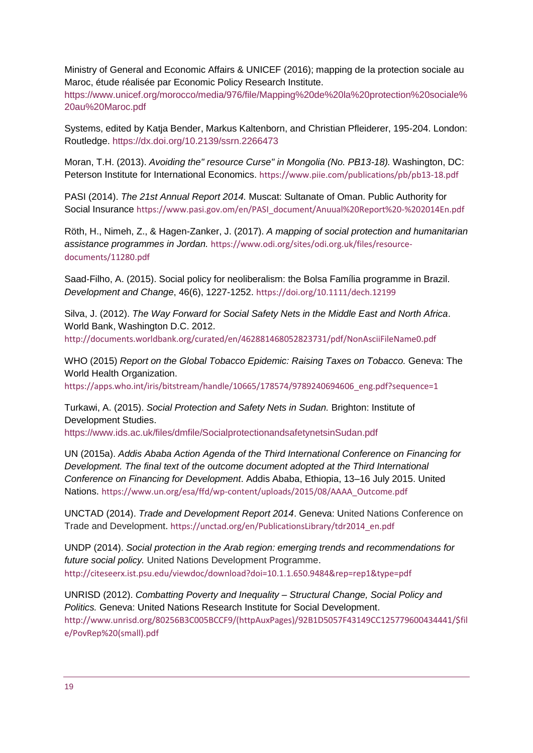Ministry of General and Economic Affairs & UNICEF (2016); mapping de la protection sociale au Maroc, étude réalisée par Economic Policy Research Institute.

[https://www.unicef.org/morocco/media/976/file/Mapping%20de%20la%20protection%20sociale%](https://www.unicef.org/morocco/media/976/file/Mapping%20de%20la%20protection%20sociale%20au%20Maroc.pdf) [20au%20Maroc.pdf](https://www.unicef.org/morocco/media/976/file/Mapping%20de%20la%20protection%20sociale%20au%20Maroc.pdf)

Systems, edited by Katja Bender, Markus Kaltenborn, and Christian Pfleiderer, 195-204. London: Routledge.<https://dx.doi.org/10.2139/ssrn.2266473>

Moran, T.H. (2013). *Avoiding the" resource Curse" in Mongolia (No. PB13-18).* Washington, DC: Peterson Institute for International Economics. <https://www.piie.com/publications/pb/pb13-18.pdf>

PASI (2014). *The 21st Annual Report 2014.* Muscat: Sultanate of Oman. Public Authority for Social Insurance [https://www.pasi.gov.om/en/PASI\\_document/Anuual%20Report%20-%202014En.pdf](https://www.pasi.gov.om/en/PASI_document/Anuual%20Report%20-%202014En.pdf)

Röth, H., Nimeh, Z., & Hagen-Zanker, J. (2017). *A mapping of social protection and humanitarian assistance programmes in Jordan.* [https://www.odi.org/sites/odi.org.uk/files/resource](https://www.odi.org/sites/odi.org.uk/files/resource-documents/11280.pdf)[documents/11280.pdf](https://www.odi.org/sites/odi.org.uk/files/resource-documents/11280.pdf)

Saad‐Filho, A. (2015). Social policy for neoliberalism: the Bolsa Família programme in Brazil. *Development and Change*, 46(6), 1227-1252. <https://doi.org/10.1111/dech.12199>

Silva, J. (2012). *The Way Forward for Social Safety Nets in the Middle East and North Africa*. World Bank, Washington D.C. 2012. <http://documents.worldbank.org/curated/en/462881468052823731/pdf/NonAsciiFileName0.pdf>

WHO (2015) *Report on the Global Tobacco Epidemic: Raising Taxes on Tobacco.* Geneva: The World Health Organization. https://apps.who.int/iris/bitstream/handle/10665/178574/9789240694606\_eng.pdf?sequence=1

Turkawi, A. (2015). *Social Protection and Safety Nets in Sudan.* Brighton: Institute of Development Studies.

<https://www.ids.ac.uk/files/dmfile/SocialprotectionandsafetynetsinSudan.pdf>

UN (2015a). *Addis Ababa Action Agenda of the Third International Conference on Financing for Development. The final text of the outcome document adopted at the Third International Conference on Financing for Development*. Addis Ababa, Ethiopia, 13–16 July 2015. United Nations. [https://www.un.org/esa/ffd/wp-content/uploads/2015/08/AAAA\\_Outcome.pdf](https://www.un.org/esa/ffd/wp-content/uploads/2015/08/AAAA_Outcome.pdf)

UNCTAD (2014). *Trade and Development Report 2014*. Geneva: United Nations Conference on Trade and Development. [https://unctad.org/en/PublicationsLibrary/tdr2014\\_en.pdf](https://unctad.org/en/PublicationsLibrary/tdr2014_en.pdf)

UNDP (2014). *Social protection in the Arab region: emerging trends and recommendations for future social policy.* United Nations Development Programme. <http://citeseerx.ist.psu.edu/viewdoc/download?doi=10.1.1.650.9484&rep=rep1&type=pdf>

UNRISD (2012). *Combatting Poverty and Inequality – Structural Change, Social Policy and Politics.* Geneva: United Nations Research Institute for Social Development. [http://www.unrisd.org/80256B3C005BCCF9/\(httpAuxPages\)/92B1D5057F43149CC125779600434441/\\$fil](http://www.unrisd.org/80256B3C005BCCF9/(httpAuxPages)/92B1D5057F43149CC125779600434441/$file/PovRep%20(small).pdf) [e/PovRep%20\(small\).pdf](http://www.unrisd.org/80256B3C005BCCF9/(httpAuxPages)/92B1D5057F43149CC125779600434441/$file/PovRep%20(small).pdf)